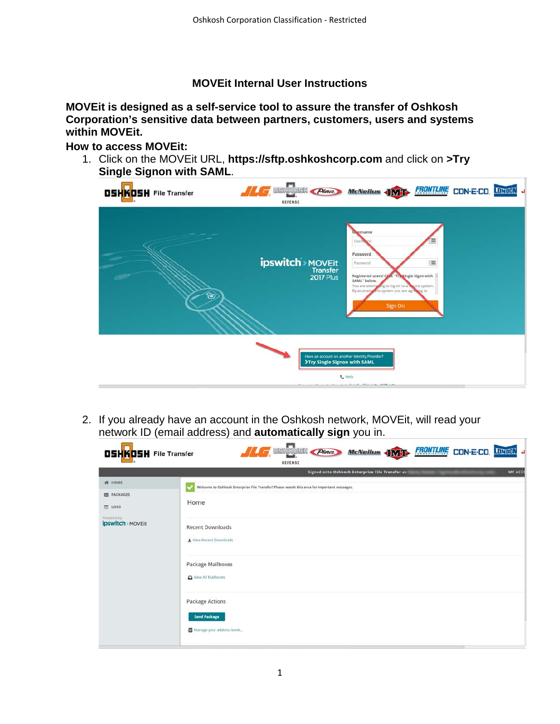# **MOVEit Internal User Instructions**

**MOVEit is designed as a self-service tool to assure the transfer of Oshkosh Corporation's sensitive data between partners, customers, users and systems within MOVEit.**

# **How to access MOVEit:**

1. Click on the MOVEit URL, **https://sftp.oshkoshcorp.com** and click on **>Try Single Signon with SAML**.

| <b>OSHKOSH</b> File Transfer | <b>THE DISNABILITY Place</b><br>DEFENSE                                       | <b>McNeilus JWIT FRONTLINE</b>                                                                                                                                                                                                              |   | CON-E-CO. LONGON |  |
|------------------------------|-------------------------------------------------------------------------------|---------------------------------------------------------------------------------------------------------------------------------------------------------------------------------------------------------------------------------------------|---|------------------|--|
| ි                            | <b>ipswitch</b> > MOVEit<br><b>2017 Plus</b>                                  | <b>Uvername</b><br>User<br>Password<br>Password<br>Registered users! Chek "Try Single Sigon with<br>SAML <sup>-</sup> below.<br>You are attempting to log on to a secure system.<br>By accessing this system you are agreeing to<br>Sign On | 调 |                  |  |
|                              | Have an account on another Identity Provider?<br>>Try Single Signon with SAML | <b>L</b> Help<br>ALL PLEAK ARTICLE AND REPORT                                                                                                                                                                                               |   |                  |  |

2. If you already have an account in the Oshkosh network, MOVEit, will read your network ID (email address) and **automatically sign** you in.

| <b>OSHKOSH File Transfer</b>      | <b>DSHKOSH Place</b><br>McNeilus JMT FRONTLINE CON-E-CO. LUNOUN<br>$\sqrt{2}$<br>DEFENSE    |
|-----------------------------------|---------------------------------------------------------------------------------------------|
|                                   | MY ACCO<br>Signed onto Oshkosh Enterprise File Transfer as                                  |
| # HOME                            | Welcome to Oshkosh Enterprise File Transfer! Please watch this area for important messages. |
| <b>ES PACKAGES</b><br>$\Box$ LOGS | Home                                                                                        |
| Powered by<br>ipswitch > MOVEIt   | <b>Recent Downloads</b><br>View Recent Downloads<br>Package Mailboxes<br>View All Mailboxes |
|                                   | <b>Package Actions</b><br><b>Send Package</b><br>Manage your address book                   |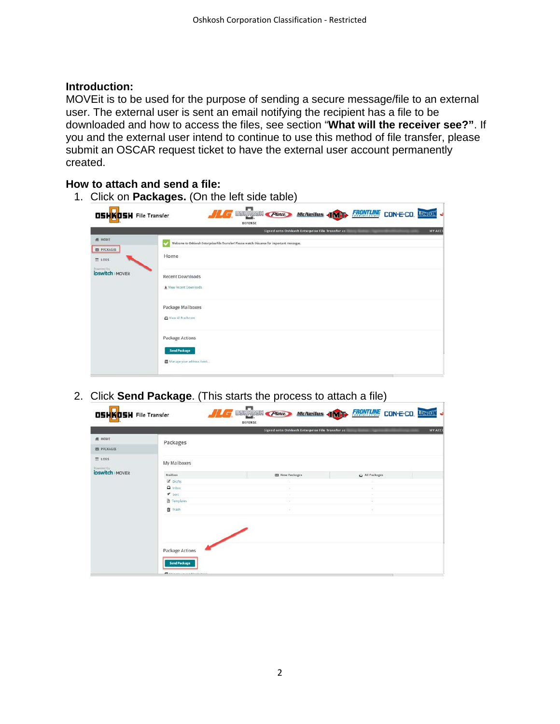# **Introduction:**

MOVEit is to be used for the purpose of sending a secure message/file to an external user. The external user is sent an email notifying the recipient has a file to be downloaded and how to access the files, see section "**What will the receiver see?"**. If you and the external user intend to continue to use this method of file transfer, please submit an OSCAR request ticket to have the external user account permanently created.

#### **How to attach and send a file:**

1. Click on **Packages.** (On the left side table)

|                                     | DEFENSE                                                                                     |
|-------------------------------------|---------------------------------------------------------------------------------------------|
|                                     | MY ACCO<br>Signed onto Oshkosh Enterprise File Transfer as                                  |
| <b>例 HOME</b>                       | Welcome to Oshkosh Enterprise File Transfer! Please watch this area for important messages. |
| <b>EE</b> PACKAGES<br>$\equiv$ 1065 | Home                                                                                        |
| Privated by<br>ipswitch > MOVEIt    | <b>Recent Downloads</b><br>* View Recent Downloads                                          |
|                                     | Package Mailboxes<br>Ven All Malboxes                                                       |
|                                     | Package Actions<br><b>Send Package</b>                                                      |
|                                     | Manage your address book                                                                    |

2. Click **Send Package**. (This starts the process to attach a file)

|                             |                           | Signed onto Oshkosh Enterprise File Transfer as |                 | MY ACCO |
|-----------------------------|---------------------------|-------------------------------------------------|-----------------|---------|
| A HOME                      | Packages                  |                                                 |                 |         |
| <b>RE PACKAGES</b>          |                           |                                                 |                 |         |
| $\equiv$ 1065<br>Powered by | My Mallboxes              |                                                 |                 |         |
| ipswitch > MOVEit           | Mailbox                   | <b>ES New Packages</b>                          | Ca All Packages |         |
|                             | Coratts                   | ×                                               |                 |         |
|                             | $\Box$ inbox              | ×                                               | ×               |         |
|                             | $\blacktriangledown$ sent |                                                 |                 |         |
|                             | Templates                 |                                                 |                 |         |
|                             | Trash                     | $\sim$                                          | $\sim$          |         |
|                             |                           |                                                 |                 |         |
|                             | <b>Package Actions</b>    |                                                 |                 |         |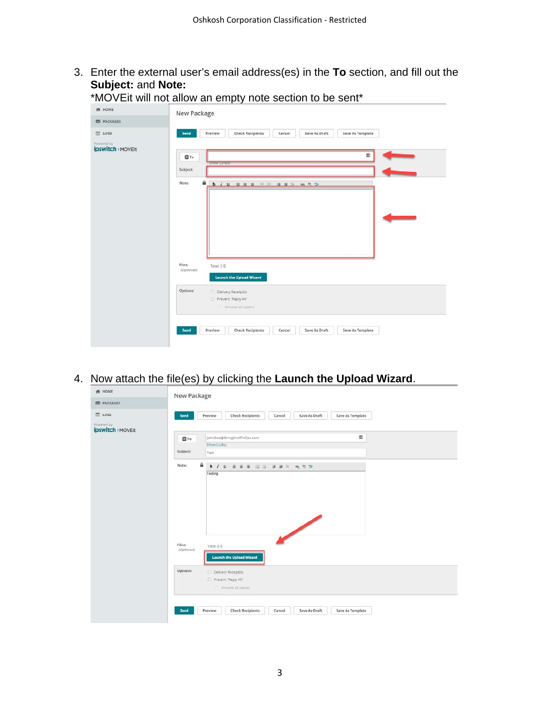3. Enter the external user's email address(es) in the **To** section, and fill out the **Subject:** and **Note:** \*MOVEit will not allow an empty note section to be sent\*

| <b>ES PACKAGES</b>              | New Package                                                                               |                          |
|---------------------------------|-------------------------------------------------------------------------------------------|--------------------------|
| <b>ED</b> LOGS                  | <b>Check Recipients</b><br>Save As Draft<br>Save As Template<br>Send<br>Preview<br>Cancel |                          |
| Powered by<br>ipswitch > MOVEit |                                                                                           |                          |
|                                 | 篇<br>图To                                                                                  |                          |
|                                 | Show Colbee<br>Subject:                                                                   |                          |
|                                 | Note:                                                                                     |                          |
|                                 |                                                                                           |                          |
|                                 |                                                                                           |                          |
|                                 |                                                                                           | <b>Contract Contract</b> |
|                                 |                                                                                           |                          |
|                                 |                                                                                           |                          |
|                                 |                                                                                           |                          |
|                                 | Files:<br>Total: 0 B                                                                      |                          |
|                                 |                                                                                           |                          |
|                                 | (Optional)<br><b>Launch the Upload Wizard</b>                                             |                          |
|                                 | Options:                                                                                  |                          |
|                                 | Delivery Receipt(s)<br>Prevent "Reply All"                                                |                          |
|                                 | Prevent all replies                                                                       |                          |
|                                 |                                                                                           |                          |

4. Now attach the file(es) by clicking the **Launch the Upload Wizard**.

| # HOME                      | New Package                                                                                                      |
|-----------------------------|------------------------------------------------------------------------------------------------------------------|
| <b>ES PACKAGES</b>          |                                                                                                                  |
| <b>D</b> LOGS<br>Powered by | Preview<br><b>Check Recipients</b><br>Save As Draft<br>Save As Template<br>Send<br>Cancel                        |
| ipswitch > MOVEIt           | 圖<br>JohnDoe@StringOnATinCan.com<br>图To<br>Show Co/Bcc                                                           |
|                             | Subject:<br>Test                                                                                                 |
|                             | ₽<br>Note:<br>FEE EE FFR 657<br>b / u                                                                            |
|                             | Testing                                                                                                          |
|                             |                                                                                                                  |
|                             |                                                                                                                  |
|                             | Files:<br>Total: 0 B<br>(Optional)<br>Launch the Upload Wizard                                                   |
|                             | Options:<br>Delivery Receipt(s)<br>Prevent "Reply All"                                                           |
|                             | Prevent all replies<br>Preview<br><b>Check Recipients</b><br>Save As Draft<br>Save As Template<br>Send<br>Cancel |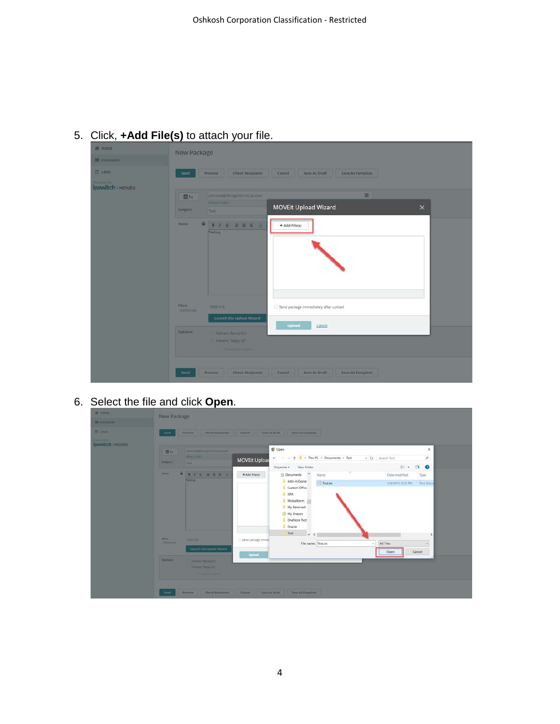|                                               | New Package                               |                                                                        |
|-----------------------------------------------|-------------------------------------------|------------------------------------------------------------------------|
| <b>ES PACKAGES</b>                            |                                           |                                                                        |
| <b>世 1005</b>                                 | Send<br>Preview                           | <b>Check Recipients</b><br>Save As Draft<br>Save As Template<br>Cancel |
| <b>Powered by</b><br><b>ipswitch</b> > MOVEIt |                                           |                                                                        |
|                                               | <b>D</b> To                               | 国<br>johnDoe@StringOnATinCan.com                                       |
|                                               | Show Correct<br>Subject:<br>Test          | MOVEit Upload Wizard<br>$\times$                                       |
|                                               | ⋒<br>Nate:<br>Testing                     | <b>b</b> / <b>u g</b> g g g<br>+ Add File(s)                           |
|                                               | Files:<br>Total: 0 B<br><b>IDptionali</b> | Send package immediately after upload<br>Launch the Upload Wizard      |
|                                               |                                           | Upload<br>Cancel                                                       |

5. Click, **+Add File(s)** to attach your file.

6. Select the file and click **Open**.

| <b>ED PACKAGES</b><br>1000       | New Package<br><b>send</b>                                                  | Preview Check Recipients Cancel Save As Draft Save As Template                                                                                                                 |                       |
|----------------------------------|-----------------------------------------------------------------------------|--------------------------------------------------------------------------------------------------------------------------------------------------------------------------------|-----------------------|
| Powered the<br>ipswitch > MOVEIt |                                                                             | C Open                                                                                                                                                                         | $\times$              |
|                                  | <b>BANDOR@SOVINGONTINGBIN.com</b><br><b>目To</b><br><b>STOW COBIL</b>        |                                                                                                                                                                                |                       |
|                                  | Sulgett<br>THIS:                                                            | $\rightarrow$ $\rightarrow$ $\uparrow$ <b>1</b> > This PC > Documents > Test<br>v O Search Test<br>÷<br><b>MOVEit Upload</b>                                                   | $\rho$                |
|                                  |                                                                             | $E$ .<br>Organize .<br>New folder                                                                                                                                              | $\bullet$<br>$\Box$   |
|                                  | A.<br>Note<br>$b$ / $u$ $v$ $v$                                             | <b>R</b> Documents<br>+ Add File(s)<br>Name<br>Date modified                                                                                                                   | Type                  |
|                                  | Teiting:                                                                    | Add-in Expres<br>Fest.txt<br>1/9/2019 3:53 PM<br>Custom Office<br>$\blacksquare$ iBM<br>MobaXterm<br>My Received<br>My Shapes<br>DneNote Not<br>Dracle<br>Test<br>$\vee$ $\in$ | <b>Text Docu</b><br>э |
|                                  | <b>Tilet:</b><br><b>TOURISTIC</b><br>(Gottonal)<br>Launch the Upload Wizant | Send package immed<br>File name: Test.txt<br>All Files<br>$\sim$<br>Open                                                                                                       | $\sim$<br>Cancel      |
|                                  | Options<br>Delivery Recorditi                                               | <b>Upload</b>                                                                                                                                                                  |                       |
|                                  | <b>Prevent Tragey Att</b><br><b>Western Car Country</b>                     |                                                                                                                                                                                |                       |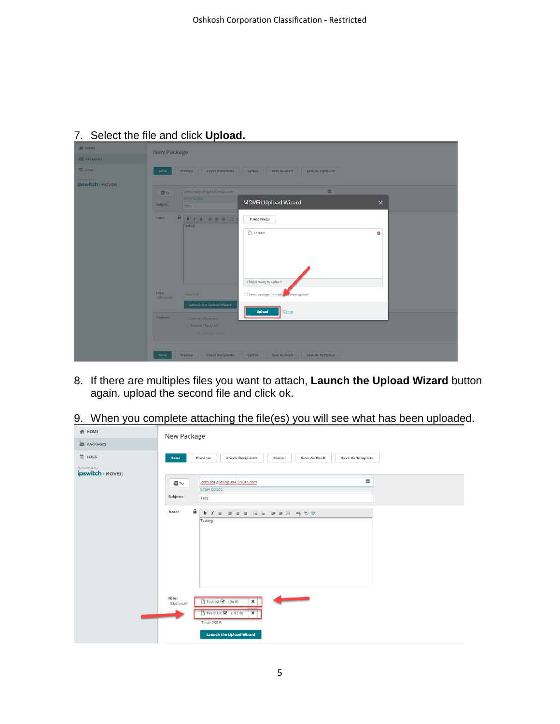| <b>PE HOME</b>     | New Package |                                                          |                                             |          |
|--------------------|-------------|----------------------------------------------------------|---------------------------------------------|----------|
| <b>ES PACKAGES</b> |             |                                                          |                                             |          |
| 1065               | Send        | <b>Check Recipients</b><br>Prayiew.                      | Save As Draft<br>Save As Template<br>Cancel |          |
| ipswitch MOVEIT    |             |                                                          |                                             |          |
|                    | 图To:        | johnDoe@StringOnATinCan.com                              | 国                                           |          |
|                    | Subject:    | <b>Show CUBCC</b><br>Test-                               | <b>MOVEit Upload Wizard</b>                 | $\times$ |
|                    | Note:       | <b>A b / U B B B E</b>                                   | + Add File(s)                               |          |
|                    |             | Testing                                                  | Test.bt                                     | û        |
|                    |             |                                                          |                                             |          |
|                    |             |                                                          |                                             |          |
|                    |             |                                                          |                                             |          |
|                    |             |                                                          |                                             |          |
|                    |             |                                                          | 1 file(s) ready to upload                   |          |
|                    | Films       | Total 0 B                                                | Send package immediating after upload       |          |
|                    | (Optional)  | Launch the Upload Wizard                                 |                                             |          |
|                    | Options:    | Delivery Receiptio                                       | Upload<br>Cancel                            |          |
|                    |             | <b>The Water Septy All:</b><br><b>Holland an excited</b> |                                             |          |

# 7. Select the file and click **Upload.**

- 8. If there are multiples files you want to attach, **Launch the Upload Wizard** button again, upload the second file and click ok.
- 9. When you complete attaching the file(es) you will see what has been uploaded.

| <b>骨 HOME</b>                   | New Package                                                                                                                                                                                         |
|---------------------------------|-----------------------------------------------------------------------------------------------------------------------------------------------------------------------------------------------------|
| <b>ES PACKAGES</b>              |                                                                                                                                                                                                     |
| LOGS                            | <b>Check Recipients</b><br>Save As Template<br>Save As Draft<br>Preview<br>Send<br>Cancel                                                                                                           |
| Powered by<br>ipswitch > MOVEit |                                                                                                                                                                                                     |
|                                 | 圜<br>johnDoe@StringOnATinCan.com<br>图 To                                                                                                                                                            |
|                                 | Show Co/Bcc                                                                                                                                                                                         |
|                                 | Subject:<br>Test                                                                                                                                                                                    |
|                                 | ≙<br>Note:<br>$b$ /<br>注 注<br>■■旨 鳴勿学<br>$\mathbf u$<br>斯<br>面 道<br>Testing                                                                                                                         |
|                                 | Files:<br><b>Contract of the Contract of Second</b><br>Test.txt & (96 B)<br>$\mathbf{x}$<br>(Optional)<br>Tesr2.txt (3 (192 B)<br>$\mathbf{x}$<br>لأكتب<br>Total: 288 B<br>Launch the Upload Wizard |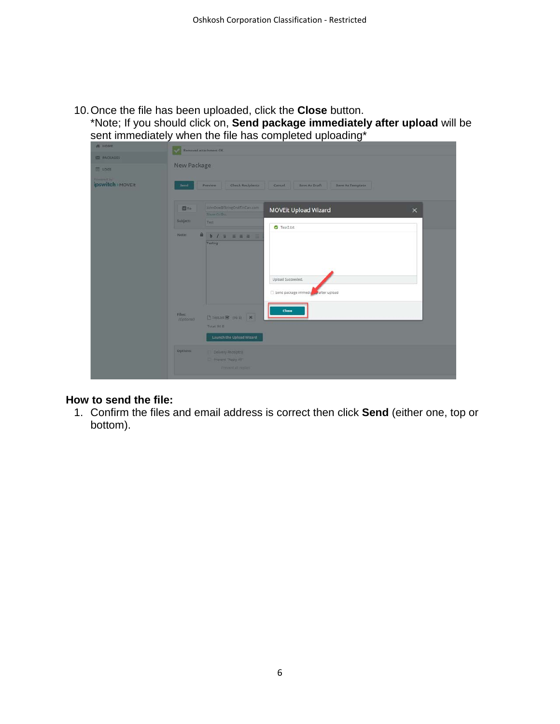10.Once the file has been uploaded, click the **Close** button.

\*Note; If you should click on, **Send package immediately after upload** will be sent immediately when the file has completed uploading\*

| <b>N</b> HOME      | u<br>Removed attachment OIC                               |                                         |
|--------------------|-----------------------------------------------------------|-----------------------------------------|
| <b>ES PACKAGES</b> |                                                           |                                         |
| 1065               | <b>New Package</b>                                        |                                         |
| <b>Powered by</b>  |                                                           |                                         |
| ipswitch > MOVEIt  | Check Recipients<br>Preview.<br>Send                      | Cancel Save As Draft Save As Template   |
|                    |                                                           |                                         |
|                    | JohnDoe@StringOnATinCan.com<br>图To<br><b>Show Crifter</b> | MOVEit Upload Wizard<br>$\times$        |
|                    | Subject:<br>Test                                          |                                         |
|                    | $\blacksquare$<br>Note:<br><b>b</b> / <b>u s</b> a a =    | $O$ Tesr2.bt                            |
|                    | Testing                                                   |                                         |
|                    |                                                           |                                         |
|                    |                                                           |                                         |
|                    |                                                           |                                         |
|                    |                                                           | Upload Succeeded.                       |
|                    |                                                           | Send package immedia<br>ey after upload |
|                    |                                                           | Close                                   |
|                    | Files:<br>□Teston @ (96日 ×<br>(Optional)                  |                                         |
|                    | Total: 95 B                                               |                                         |
|                    | Launch the Upload Wizard                                  |                                         |
|                    | <b>Options:</b><br>Delivery Receiptss                     |                                         |
|                    | Prevent "Reply All"                                       |                                         |
|                    | <b>FINNYIDAR POSES</b>                                    |                                         |
|                    |                                                           |                                         |

### **How to send the file:**

1. Confirm the files and email address is correct then click **Send** (either one, top or bottom).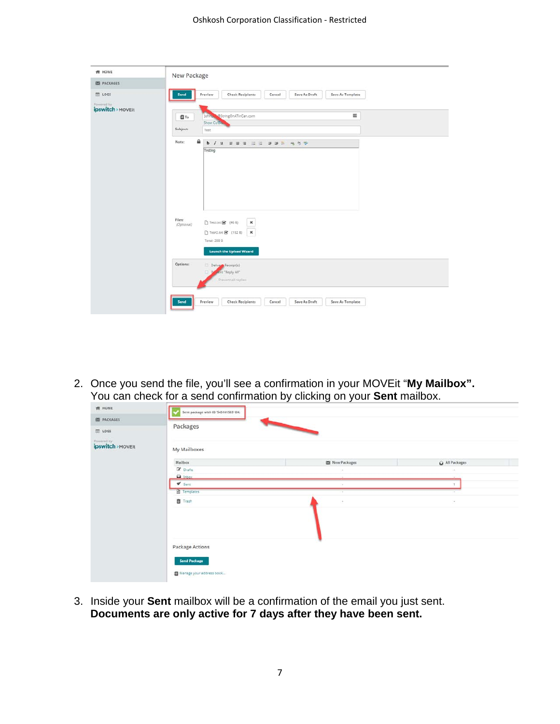| # HOME                          | New Package                                                                               |
|---------------------------------|-------------------------------------------------------------------------------------------|
| <b>ES PACKAGES</b>              |                                                                                           |
| <b>■ LOGS</b>                   | Preview<br><b>Check Recipients</b><br>Cancel<br>Save As Draft<br>Save As Template<br>Send |
| Powered by<br>ipswitch > MOVEit |                                                                                           |
|                                 | 羀<br>Johnes & StringOnATinCan.com<br>图To<br>Show Co/Box                                   |
|                                 | Subject:<br>Test                                                                          |
|                                 | ۵<br>Note:<br>b / u m m m in in m m m m t v                                               |
|                                 | Testing                                                                                   |
|                                 |                                                                                           |
|                                 |                                                                                           |
|                                 |                                                                                           |
|                                 |                                                                                           |
|                                 |                                                                                           |
|                                 |                                                                                           |
|                                 |                                                                                           |
|                                 | Files:<br><b>门 Test.txt @</b> (96 B)<br>$\pmb{\times}$                                    |
|                                 | (Optional)                                                                                |
|                                 | $\mathbf{x}$<br>□ Tesr2.txt 3 (192 B)                                                     |
|                                 | Total: 288 B                                                                              |
|                                 | <b>Launch the Upload Wizard</b>                                                           |
|                                 | Options:                                                                                  |
|                                 | Delivery Receipt(s)<br><b>Jent</b> "Reply All"                                            |
|                                 |                                                                                           |
|                                 |                                                                                           |
|                                 | Prevent all replies                                                                       |
|                                 |                                                                                           |

2. Once you send the file, you'll see a confirmation in your MOVEit "**My Mailbox".** You can check for a send confirmation by clicking on your **Sent** mailbox.

| 1065              | Packages                                     |                        |                |  |  |  |  |  |  |  |  |  |  |  |
|-------------------|----------------------------------------------|------------------------|----------------|--|--|--|--|--|--|--|--|--|--|--|
| ipswitch > MOVEIt | My Mailboxes                                 |                        |                |  |  |  |  |  |  |  |  |  |  |  |
|                   | Mailbox                                      | <b>ES New Packages</b> | C All Packages |  |  |  |  |  |  |  |  |  |  |  |
|                   | C Drafts                                     |                        |                |  |  |  |  |  |  |  |  |  |  |  |
|                   | $\Omega$ inbox.<br>$\blacktriangledown$ Sent |                        |                |  |  |  |  |  |  |  |  |  |  |  |
|                   | <b>C</b> Templates                           | $\sim$<br>w            |                |  |  |  |  |  |  |  |  |  |  |  |
|                   | <b>音 Trash</b>                               | D.                     | $\pi$          |  |  |  |  |  |  |  |  |  |  |  |
|                   |                                              |                        |                |  |  |  |  |  |  |  |  |  |  |  |
|                   |                                              |                        |                |  |  |  |  |  |  |  |  |  |  |  |
|                   |                                              |                        |                |  |  |  |  |  |  |  |  |  |  |  |
|                   | Package Actions                              |                        |                |  |  |  |  |  |  |  |  |  |  |  |
|                   |                                              |                        |                |  |  |  |  |  |  |  |  |  |  |  |

3. Inside your **Sent** mailbox will be a confirmation of the email you just sent. **Documents are only active for 7 days after they have been sent.**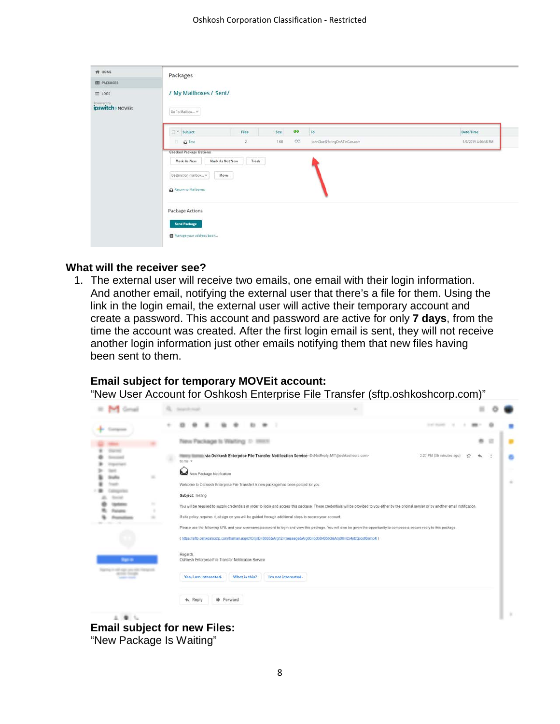| <b># HOME</b>      | Packages                                                   |                                  |             |                             |                     |
|--------------------|------------------------------------------------------------|----------------------------------|-------------|-----------------------------|---------------------|
| <b>EN PACKAGES</b> |                                                            |                                  |             |                             |                     |
| $\equiv$ 1065      | / My Mailboxes / Sent/                                     |                                  |             |                             |                     |
| ipswitch > MOVEIt  | Go To Mailbox                                              |                                  |             |                             |                     |
|                    | Subject                                                    | Files                            | Size<br>oo  | To                          | Date/Time           |
|                    | <b>Q</b> Test                                              | ž                                | OO:<br>t KB | JohnDoe@StringOnATinCan.com | 1/9/2019 4:06:58 PM |
|                    | Mark As New<br>Destination mailbox V<br>Return to Malboxes | Trash<br>Mark As Not New<br>Move |             |                             |                     |
|                    | <b>Package Actions</b><br><b>Send Package</b>              |                                  |             |                             |                     |
|                    | Manage your address book                                   |                                  |             |                             |                     |

#### **What will the receiver see?**

1. The external user will receive two emails, one email with their login information. And another email, notifying the external user that there's a file for them. Using the link in the login email, the external user will active their temporary account and create a password. This account and password are active for only **7 days**, from the time the account was created. After the first login email is sent, they will not receive another login information just other emails notifying them that new files having been sent to them.

#### **Email subject for temporary MOVEit account:**

"New User Account for Oshkosh Enterprise File Transfer (sftp.oshkoshcorp.com)"

|  |                                                   |   | New Package Is Waiting 1: 1993                                                                                             |                                                                                                                                                                                                                                                                                                               |                          |    |  |   |
|--|---------------------------------------------------|---|----------------------------------------------------------------------------------------------------------------------------|---------------------------------------------------------------------------------------------------------------------------------------------------------------------------------------------------------------------------------------------------------------------------------------------------------------|--------------------------|----|--|---|
|  |                                                   |   | to me -<br>New Package Notification<br>Welcome to Oshkosh Enterprise File Transfert A new package has been posted for you. | via Oshkosh Enterprise File Transfer Notification Service <donotreply_mit@oshkoshcorp.com></donotreply_mit@oshkoshcorp.com>                                                                                                                                                                                   | 2:27 PM (36 minutes ago) | 12 |  | ٠ |
|  |                                                   | ٠ | Subject: Testing                                                                                                           | You will be required to supply credentials in order to login and access this package. These credentials will be provided to you either by the original sender or by another email notification.<br>If site policy requires it, at sign on you will be quided through additional steps to secure your account. |                          |    |  |   |
|  |                                                   |   |                                                                                                                            | Please use the following URL and your username/password to login and view this package. You will also be given the opportunity to compose a secure reply to this package.<br>(https://sftp.oshkoshcorp.com/human.aspx?OrgID=8088&Arg12=message&Arg06=533840563&Arg08=854pb5popf8gmc4) )                       |                          |    |  |   |
|  | <b>Bandy</b>                                      |   | Regards.<br>Oshkosh Enterprise File Transfer Notification Service                                                          |                                                                                                                                                                                                                                                                                                               |                          |    |  |   |
|  | product changes<br><b><i>CARD CORPORATION</i></b> |   | Yes, I am interested.<br>What is this?<br><b>Sp</b> Forward<br>* Reply                                                     | I'm not interested.                                                                                                                                                                                                                                                                                           |                          |    |  |   |
|  | $1 - 4 - 1$                                       |   |                                                                                                                            |                                                                                                                                                                                                                                                                                                               |                          |    |  |   |

**Email subject for new Files:** "New Package Is Waiting"